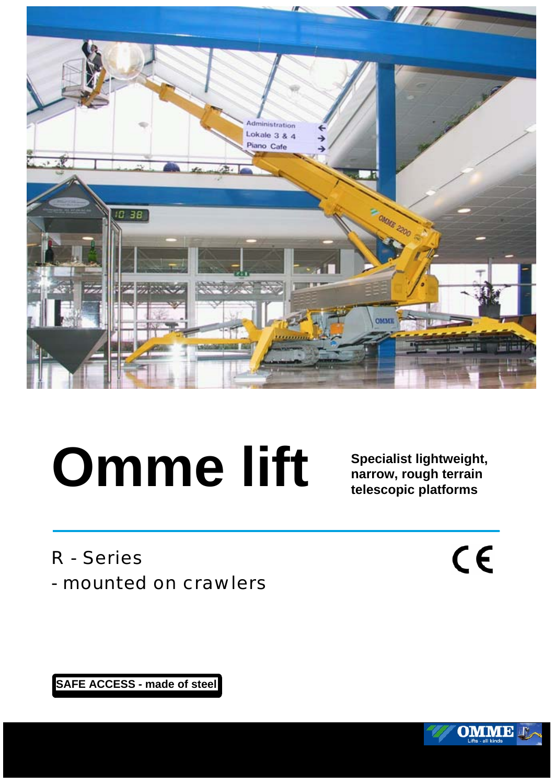

## **Omme lift**

**Specialist lightweight, narrow, rough terrain telescopic platforms**

R - Series

- mounted on crawlers

 $\zeta$ 

**SAFE ACCESS - made of steel**

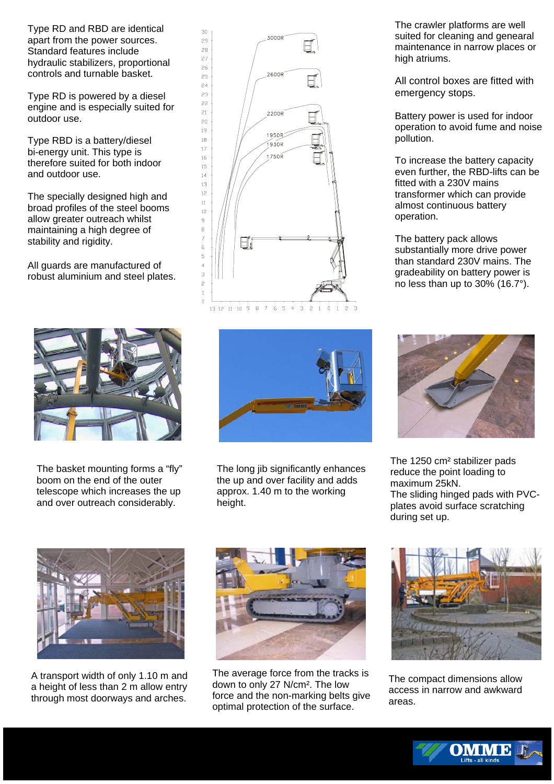Type RD and RBD are identical apart from the power sources. Standard features include hydraulic stabilizers, proportional controls and turnable basket.

Type RD is powered by a diesel engine and is especially suited for outdoor use.

Type RBD is a battery/diesel bi-energy unit. This type is therefore suited for both indoor and outdoor use.

The specially designed high and broad profiles of the steel booms allow greater outreach whilst maintaining a high degree of stability and rigidity.

All guards are manufactured of robust aluminium and steel plates.



The basket mounting forms a "fly" boom on the end of the outer telescope which increases the up and over outreach considerably.





The long jib significantly enhances the up and over facility and adds approx. 1.40 m to the working height.

The crawler platforms are well suited for cleaning and genearal maintenance in narrow places or high atriums.

All control boxes are fitted with emergency stops.

Battery power is used for indoor operation to avoid fume and noise pollution.

To increase the battery capacity even further, the RBD-lifts can be fitted with a 230V mains transformer which can provide almost continuous battery operation.

The battery pack allows substantially more drive power than standard 230V mains. The gradeability on battery power is no less than up to 30% (16.7°).



The 1250 cm² stabilizer pads reduce the point loading to maximum 25kN. The sliding hinged pads with PVCplates avoid surface scratching during set up.



A transport width of only 1.10 m and a height of less than 2 m allow entry through most doorways and arches.



The average force from the tracks is down to only 27 N/cm². The low force and the non-marking belts give optimal protection of the surface.



The compact dimensions allow access in narrow and awkward areas.

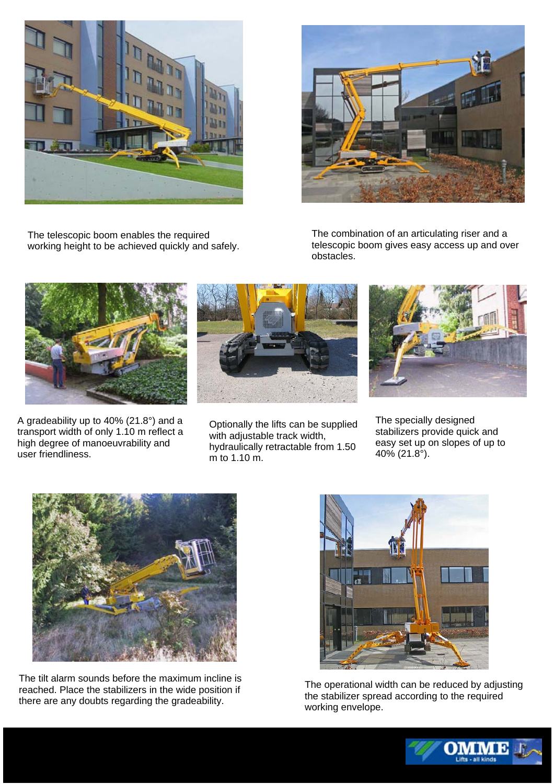

The telescopic boom enables the required working height to be achieved quickly and safely.



The combination of an articulating riser and a telescopic boom gives easy access up and over obstacles.



A gradeability up to 40% (21.8°) and a transport width of only 1.10 m reflect a high degree of manoeuvrability and user friendliness.



Optionally the lifts can be supplied with adjustable track width, hydraulically retractable from 1.50 m to 1.10 m.



The specially designed stabilizers provide quick and easy set up on slopes of up to 40% (21.8°).



The tilt alarm sounds before the maximum incline is reached. Place the stabilizers in the wide position if there are any doubts regarding the gradeability.



The operational width can be reduced by adjusting the stabilizer spread according to the required working envelope.